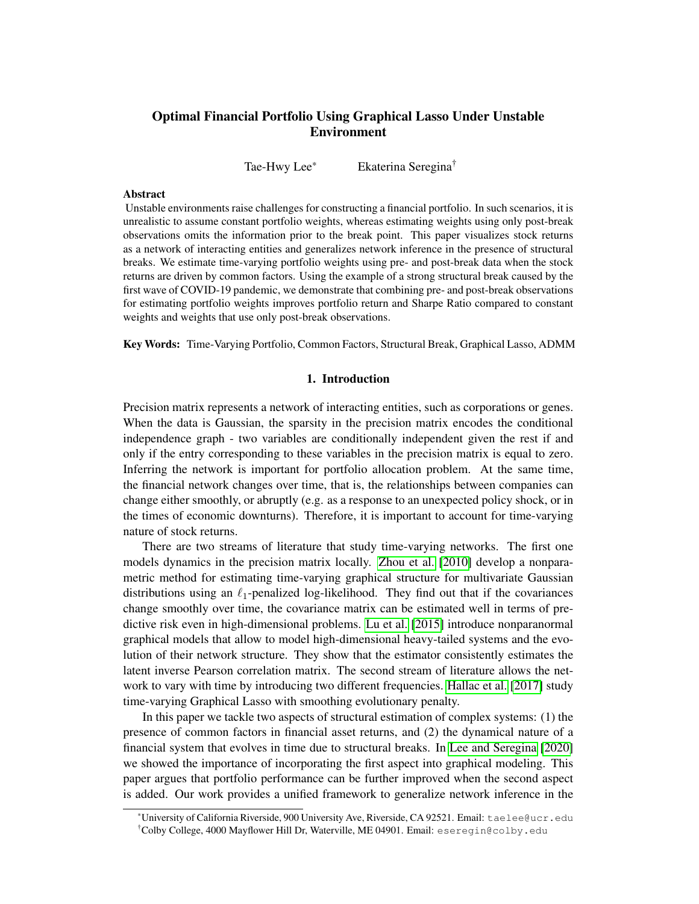# Optimal Financial Portfolio Using Graphical Lasso Under Unstable Environment

Tae-Hwy Lee<sup>\*</sup> Ekaterina Seregina<sup>†</sup>

#### Abstract

Unstable environments raise challenges for constructing a financial portfolio. In such scenarios, it is unrealistic to assume constant portfolio weights, whereas estimating weights using only post-break observations omits the information prior to the break point. This paper visualizes stock returns as a network of interacting entities and generalizes network inference in the presence of structural breaks. We estimate time-varying portfolio weights using pre- and post-break data when the stock returns are driven by common factors. Using the example of a strong structural break caused by the first wave of COVID-19 pandemic, we demonstrate that combining pre- and post-break observations for estimating portfolio weights improves portfolio return and Sharpe Ratio compared to constant weights and weights that use only post-break observations.

Key Words: Time-Varying Portfolio, Common Factors, Structural Break, Graphical Lasso, ADMM

# 1. Introduction

Precision matrix represents a network of interacting entities, such as corporations or genes. When the data is Gaussian, the sparsity in the precision matrix encodes the conditional independence graph - two variables are conditionally independent given the rest if and only if the entry corresponding to these variables in the precision matrix is equal to zero. Inferring the network is important for portfolio allocation problem. At the same time, the financial network changes over time, that is, the relationships between companies can change either smoothly, or abruptly (e.g. as a response to an unexpected policy shock, or in the times of economic downturns). Therefore, it is important to account for time-varying nature of stock returns.

There are two streams of literature that study time-varying networks. The first one models dynamics in the precision matrix locally. [Zhou et al.](#page-3-0) [\[2010\]](#page-3-0) develop a nonparametric method for estimating time-varying graphical structure for multivariate Gaussian distributions using an  $\ell_1$ -penalized log-likelihood. They find out that if the covariances change smoothly over time, the covariance matrix can be estimated well in terms of predictive risk even in high-dimensional problems. [Lu et al.](#page-3-1) [\[2015\]](#page-3-1) introduce nonparanormal graphical models that allow to model high-dimensional heavy-tailed systems and the evolution of their network structure. They show that the estimator consistently estimates the latent inverse Pearson correlation matrix. The second stream of literature allows the network to vary with time by introducing two different frequencies. [Hallac et al.](#page-3-2) [\[2017\]](#page-3-2) study time-varying Graphical Lasso with smoothing evolutionary penalty.

In this paper we tackle two aspects of structural estimation of complex systems: (1) the presence of common factors in financial asset returns, and (2) the dynamical nature of a financial system that evolves in time due to structural breaks. In [Lee and Seregina](#page-3-3) [\[2020\]](#page-3-3) we showed the importance of incorporating the first aspect into graphical modeling. This paper argues that portfolio performance can be further improved when the second aspect is added. Our work provides a unified framework to generalize network inference in the

<sup>\*</sup>University of California Riverside, 900 University Ave, Riverside, CA 92521. Email: taelee@ucr.edu †Colby College, 4000 Mayflower Hill Dr, Waterville, ME 04901. Email: eseregin@colby.edu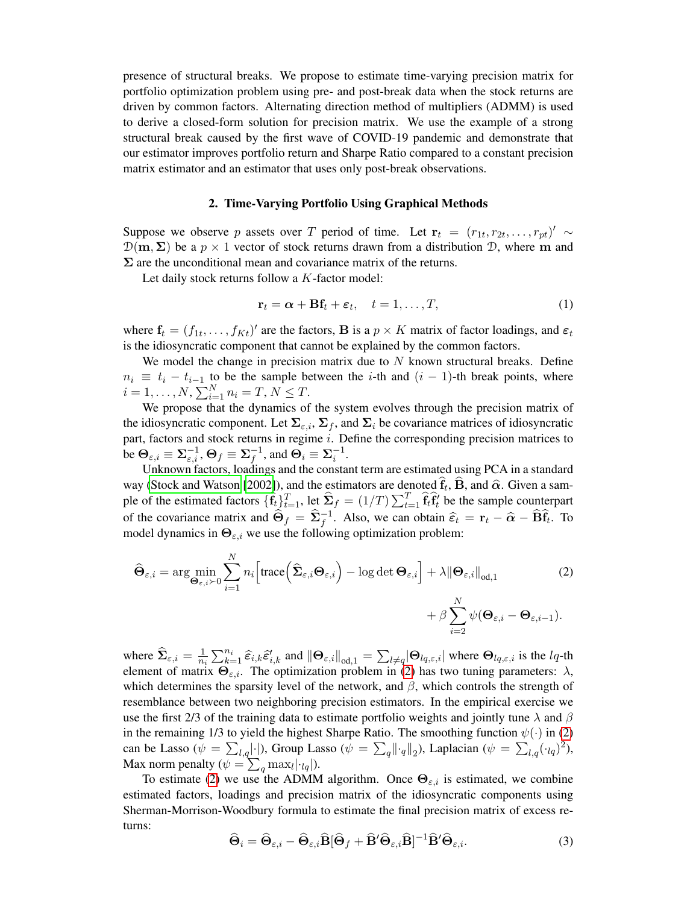presence of structural breaks. We propose to estimate time-varying precision matrix for portfolio optimization problem using pre- and post-break data when the stock returns are driven by common factors. Alternating direction method of multipliers (ADMM) is used to derive a closed-form solution for precision matrix. We use the example of a strong structural break caused by the first wave of COVID-19 pandemic and demonstrate that our estimator improves portfolio return and Sharpe Ratio compared to a constant precision matrix estimator and an estimator that uses only post-break observations.

#### 2. Time-Varying Portfolio Using Graphical Methods

Suppose we observe p assets over T period of time. Let  $\mathbf{r}_t = (r_{1t}, r_{2t}, \dots, r_{pt})' \sim$  $\mathcal{D}(\mathbf{m}, \Sigma)$  be a  $p \times 1$  vector of stock returns drawn from a distribution D, where m and  $\Sigma$  are the unconditional mean and covariance matrix of the returns.

Let daily stock returns follow a K-factor model:

<span id="page-1-2"></span><span id="page-1-0"></span>
$$
\mathbf{r}_t = \boldsymbol{\alpha} + \mathbf{B}\mathbf{f}_t + \boldsymbol{\varepsilon}_t, \quad t = 1, \dots, T,
$$
\n(1)

where  $f_t = (f_{1t}, \dots, f_{Kt})'$  are the factors, **B** is a  $p \times K$  matrix of factor loadings, and  $\varepsilon_t$ is the idiosyncratic component that cannot be explained by the common factors.

We model the change in precision matrix due to  $N$  known structural breaks. Define  $n_i \equiv t_i - t_{i-1}$  to be the sample between the i-th and  $(i - 1)$ -th break points, where  $i = 1, \ldots, N, \sum_{i=1}^{N} n_i = T, N \leq T.$ 

We propose that the dynamics of the system evolves through the precision matrix of the idiosyncratic component. Let  $\Sigma_{\epsilon,i}$ ,  $\Sigma_f$ , and  $\Sigma_i$  be covariance matrices of idiosyncratic part, factors and stock returns in regime  $i$ . Define the corresponding precision matrices to be  $\bm{\Theta}_{\varepsilon,i}\equiv\bm{\Sigma}_{\varepsilon,i}^{-1},\bm{\Theta}_{f}\equiv\bm{\Sigma}_{f}^{-1}$  $f^{-1}$ , and  $\mathbf{\Theta}_i \equiv \mathbf{\Sigma}_i^{-1}$ .

Unknown factors, loadings and the constant term are estimated using PCA in a standard way [\(Stock and Watson](#page-3-4) [\[2002\]](#page-3-4)), and the estimators are denoted  $\mathbf{f}_t$ ,  $\mathbf{B}$ , and  $\hat{\alpha}$ . Given a sam-<br>pla of the estimated fectors  $(\hat{\mathbf{f}}_t)$   $T$  let  $\hat{\mathbf{S}}_t = (1/T) \sum T$ .  $\hat{\mathbf{f}}_t \hat{\mathbf{f}}_t$  has the sample c ple of the estimated factors  $\{\widehat{\mathbf{f}}_t\}_{t=1}^T$ , let  $\widehat{\boldsymbol{\Sigma}}_f = (1/T) \sum_{t=1}^T \widehat{\mathbf{f}}_t \widehat{\mathbf{f}}_t'$  be the sample counterpart of the covariance matrix and  $\hat{\Theta}_f = \hat{\Sigma}_f^{-1}$ . Also, we can obtain  $\hat{\epsilon}_t = \mathbf{r}_t - \hat{\alpha} - \hat{\mathbf{B}}\hat{\mathbf{f}}_t$ . To model dynamics in  $\Theta_{\varepsilon,i}$  we use the following optimization problem:

$$
\widehat{\boldsymbol{\Theta}}_{\varepsilon,i} = \arg\min_{\boldsymbol{\Theta}_{\varepsilon,i}\succ0} \sum_{i=1}^{N} n_i \Big[ \text{trace} \Big( \widehat{\boldsymbol{\Sigma}}_{\varepsilon,i} \boldsymbol{\Theta}_{\varepsilon,i} \Big) - \log \det \boldsymbol{\Theta}_{\varepsilon,i} \Big) + \lambda \|\boldsymbol{\Theta}_{\varepsilon,i}\|_{\text{od},1} + \beta \sum_{i=2}^{N} \psi(\boldsymbol{\Theta}_{\varepsilon,i} - \boldsymbol{\Theta}_{\varepsilon,i-1}).
$$
\n(2)

where  $\widehat{\Sigma}_{\varepsilon,i} = \frac{1}{n}$  $\frac{1}{n_i} \sum_{k=1}^{n_i} \widehat{\epsilon}_{i,k} \widehat{\epsilon}'_{i,k}$  and  $\|\Theta_{\varepsilon,i}\|_{\text{od},1} = \sum_{l \neq q} |\Theta_{lq,\varepsilon,i}|$  where  $\Theta_{lq,\varepsilon,i}$  is the lq-th element of matrix  $\Theta_{\varepsilon,i}$ . The optimization problem in [\(2\)](#page-1-0) has two tuning parameters:  $\lambda$ , which determines the sparsity level of the network, and  $\beta$ , which controls the strength of resemblance between two neighboring precision estimators. In the empirical exercise we use the first 2/3 of the training data to estimate portfolio weights and jointly tune  $\lambda$  and  $\beta$ in the remaining 1/3 to yield the highest Sharpe Ratio. The smoothing function  $\psi(\cdot)$  in [\(2\)](#page-1-0) can be Lasso ( $\psi = \sum_{l,q} |\cdot|$ ), Group Lasso ( $\psi = \sum_{q} ||\cdot_q||_2$ ), Laplacian ( $\psi = \sum_{l,q} (\cdot_{lq})^2$ ), Max norm penalty ( $\psi = \sum_q \max_l |\cdot_{lq}|$ ).

To estimate [\(2\)](#page-1-0) we use the ADMM algorithm. Once  $\Theta_{\varepsilon,i}$  is estimated, we combine estimated factors, loadings and precision matrix of the idiosyncratic components using Sherman-Morrison-Woodbury formula to estimate the final precision matrix of excess returns:

<span id="page-1-1"></span>
$$
\widehat{\Theta}_{i} = \widehat{\Theta}_{\varepsilon,i} - \widehat{\Theta}_{\varepsilon,i} \widehat{\mathbf{B}} [\widehat{\Theta}_{f} + \widehat{\mathbf{B}}' \widehat{\Theta}_{\varepsilon,i} \widehat{\mathbf{B}}]^{-1} \widehat{\mathbf{B}}' \widehat{\Theta}_{\varepsilon,i}.
$$
\n(3)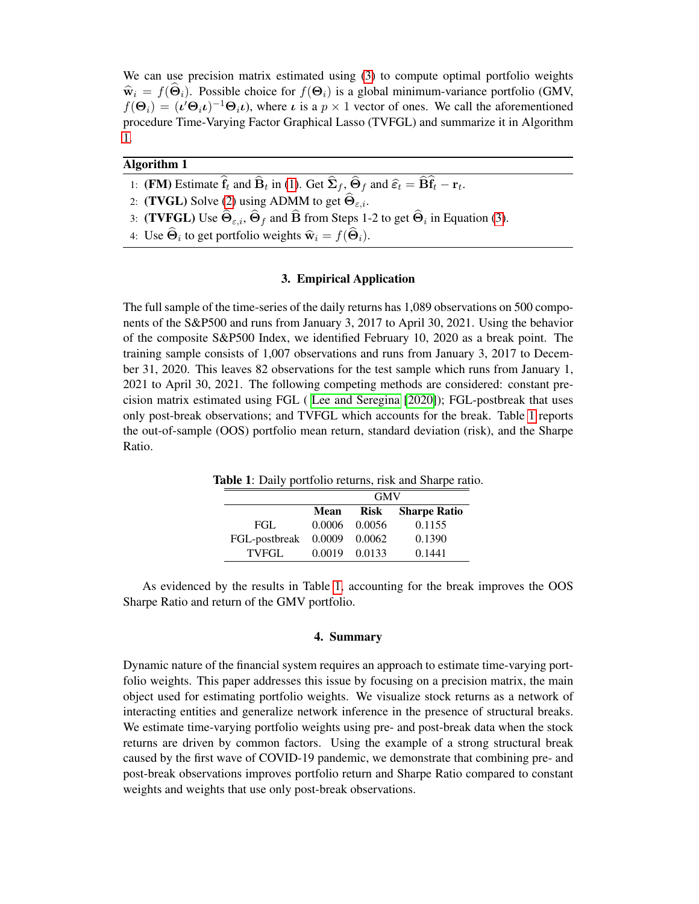We can use precision matrix estimated using [\(3\)](#page-1-1) to compute optimal portfolio weights  $\hat{\mathbf{w}}_i = f(\mathbf{\Theta}_i)$ . Possible choice for  $f(\mathbf{\Theta}_i)$  is a global minimum-variance portfolio (GMV,  $f(\Theta_i) = (\iota' \Theta_i \iota)^{-1} \Theta_i \iota$ , where  $\iota$  is a  $p \times 1$  vector of ones. We call the aforementioned procedure Time-Varying Factor Graphical Lasso (TVFGL) and summarize it in Algorithm [1.](#page-2-0)

# Algorithm 1

- <span id="page-2-0"></span>1: (FM) Estimate  $\mathbf{f}_t$  and  $\mathbf{B}_t$  in [\(1\)](#page-1-2). Get  $\Sigma_f$ ,  $\Theta_f$  and  $\hat{\varepsilon}_t = \mathbf{B} \mathbf{f}_t - \mathbf{r}_t$ .
- 2: (TVGL) Solve [\(2\)](#page-1-0) using ADMM to get  $\Theta_{\varepsilon,i}$ .
- 3: (TVFGL) Use  $\Theta_{\varepsilon,i}$ ,  $\Theta_f$  and B from Steps 1-2 to get  $\Theta_i$  in Equation [\(3\)](#page-1-1).
- 4: Use  $\Theta_i$  to get portfolio weights  $\widehat{\mathbf{w}}_i = f(\Theta_i)$ .

# 3. Empirical Application

The full sample of the time-series of the daily returns has 1,089 observations on 500 components of the S&P500 and runs from January 3, 2017 to April 30, 2021. Using the behavior of the composite S&P500 Index, we identified February 10, 2020 as a break point. The training sample consists of 1,007 observations and runs from January 3, 2017 to December 31, 2020. This leaves 82 observations for the test sample which runs from January 1, 2021 to April 30, 2021. The following competing methods are considered: constant precision matrix estimated using FGL ( [Lee and Seregina](#page-3-3) [\[2020\]](#page-3-3)); FGL-postbreak that uses only post-break observations; and TVFGL which accounts for the break. Table [1](#page-2-1) reports the out-of-sample (OOS) portfolio mean return, standard deviation (risk), and the Sharpe Ratio.

| <b>able 1</b> : Daily portfolio returns, risk and Sharpe rational |               |               |                          |
|-------------------------------------------------------------------|---------------|---------------|--------------------------|
|                                                                   | <b>GMV</b>    |               |                          |
|                                                                   | Mean          |               | <b>Risk</b> Sharpe Ratio |
| FGL                                                               |               | 0.0006 0.0056 | 0.1155                   |
| FGL-postbreak                                                     | 0.0009 0.0062 |               | 0.1390                   |
| <b>TVFGL</b>                                                      |               | 0.0019 0.0133 | 0.1441                   |

<span id="page-2-1"></span>Table 1: Daily portfolio returns, risk and Sharpe ratio.

As evidenced by the results in Table [1,](#page-2-1) accounting for the break improves the OOS Sharpe Ratio and return of the GMV portfolio.

### 4. Summary

Dynamic nature of the financial system requires an approach to estimate time-varying portfolio weights. This paper addresses this issue by focusing on a precision matrix, the main object used for estimating portfolio weights. We visualize stock returns as a network of interacting entities and generalize network inference in the presence of structural breaks. We estimate time-varying portfolio weights using pre- and post-break data when the stock returns are driven by common factors. Using the example of a strong structural break caused by the first wave of COVID-19 pandemic, we demonstrate that combining pre- and post-break observations improves portfolio return and Sharpe Ratio compared to constant weights and weights that use only post-break observations.